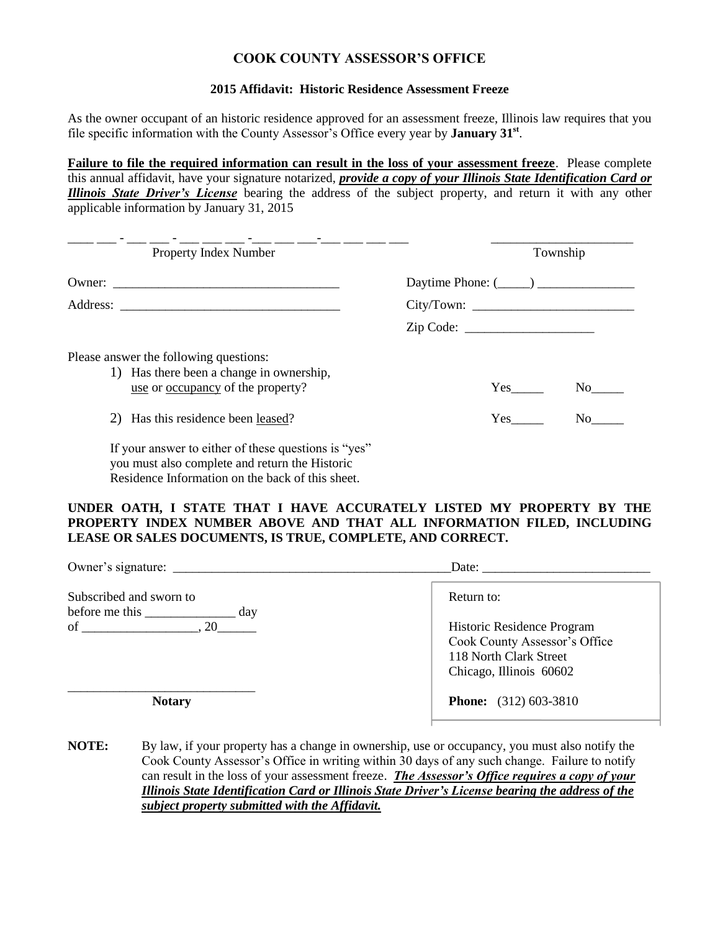## **COOK COUNTY ASSESSOR'S OFFICE**

## **2015 Affidavit: Historic Residence Assessment Freeze**

As the owner occupant of an historic residence approved for an assessment freeze, Illinois law requires that you file specific information with the County Assessor's Office every year by **January 31st** .

**Failure to file the required information can result in the loss of your assessment freeze**. Please complete this annual affidavit, have your signature notarized, *provide a copy of your Illinois State Identification Card or Illinois State Driver's License* bearing the address of the subject property, and return it with any other applicable information by January 31, 2015

| Property Index Number                                                                                                                                      | Township                    |
|------------------------------------------------------------------------------------------------------------------------------------------------------------|-----------------------------|
|                                                                                                                                                            | Daytime Phone: $(\_\_\_\_)$ |
|                                                                                                                                                            |                             |
|                                                                                                                                                            | Zip Code:                   |
| Please answer the following questions:<br>1) Has there been a change in ownership,<br>use or <u>occupancy</u> of the property?                             | Yes<br>No l                 |
| 2) Has this residence been leased?                                                                                                                         | No<br>Yes                   |
| If your answer to either of these questions is "yes"<br>you must also complete and return the Historic<br>Residence Information on the back of this sheet. |                             |

## **UNDER OATH, I STATE THAT I HAVE ACCURATELY LISTED MY PROPERTY BY THE PROPERTY INDEX NUMBER ABOVE AND THAT ALL INFORMATION FILED, INCLUDING LEASE OR SALES DOCUMENTS, IS TRUE, COMPLETE, AND CORRECT.**

| Owner's signature:      | Date:                                                                                                            |
|-------------------------|------------------------------------------------------------------------------------------------------------------|
| Subscribed and sworn to | Return to:                                                                                                       |
| of $\qquad \qquad .20$  | Historic Residence Program<br>Cook County Assessor's Office<br>118 North Clark Street<br>Chicago, Illinois 60602 |
| <b>Notary</b>           | <b>Phone:</b> (312) 603-3810                                                                                     |

**NOTE:** By law, if your property has a change in ownership, use or occupancy, you must also notify the Cook County Assessor's Office in writing within 30 days of any such change. Failure to notify can result in the loss of your assessment freeze. *The Assessor's Office requires a copy of your Illinois State Identification Card or Illinois State Driver's License bearing the address of the subject property submitted with the Affidavit.*